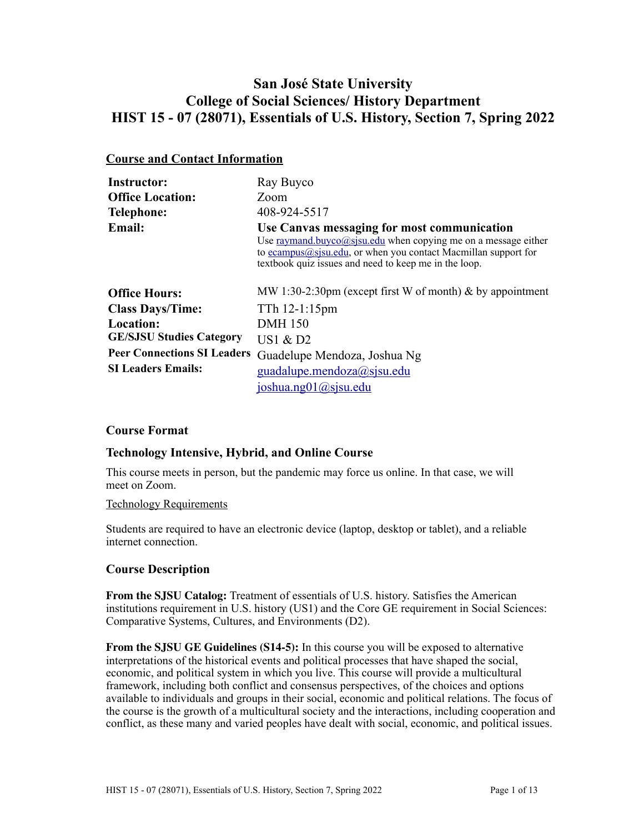## **San José State University College of Social Sciences/ History Department HIST 15 - 07 (28071), Essentials of U.S. History, Section 7, Spring 2022**

## **Course and Contact Information**

| <b>Instructor:</b>                 | Ray Buyco                                                                                                                                                                                                                                   |
|------------------------------------|---------------------------------------------------------------------------------------------------------------------------------------------------------------------------------------------------------------------------------------------|
| <b>Office Location:</b>            | Zoom                                                                                                                                                                                                                                        |
| <b>Telephone:</b>                  | 408-924-5517                                                                                                                                                                                                                                |
| <b>Email:</b>                      | Use Canvas messaging for most communication<br>Use raymand.buyco@sjsu.edu when copying me on a message either<br>to $ecampus@sisu.edu$ , or when you contact Macmillan support for<br>textbook quiz issues and need to keep me in the loop. |
| <b>Office Hours:</b>               | MW 1:30-2:30pm (except first W of month) $\&$ by appointment                                                                                                                                                                                |
| <b>Class Days/Time:</b>            | TTh $12-1:15$ pm                                                                                                                                                                                                                            |
| Location:                          | <b>DMH</b> 150                                                                                                                                                                                                                              |
| <b>GE/SJSU Studies Category</b>    | US1 $&$ D <sub>2</sub>                                                                                                                                                                                                                      |
| <b>Peer Connections SI Leaders</b> | Guadelupe Mendoza, Joshua Ng                                                                                                                                                                                                                |
| <b>SI Leaders Emails:</b>          | $\text{quadalupe.mendoza}(a)$ sjsu.edu                                                                                                                                                                                                      |
|                                    | ioshua.ng01@sisu.edu                                                                                                                                                                                                                        |

## **Course Format**

## **Technology Intensive, Hybrid, and Online Course**

This course meets in person, but the pandemic may force us online. In that case, we will meet on Zoom.

#### Technology Requirements

Students are required to have an electronic device (laptop, desktop or tablet), and a reliable internet connection.

## **Course Description**

**From the SJSU Catalog:** Treatment of essentials of U.S. history. Satisfies the American institutions requirement in U.S. history (US1) and the Core GE requirement in Social Sciences: Comparative Systems, Cultures, and Environments (D2).

**From the SJSU GE Guidelines (S14-5):** In this course you will be exposed to alternative interpretations of the historical events and political processes that have shaped the social, economic, and political system in which you live. This course will provide a multicultural framework, including both conflict and consensus perspectives, of the choices and options available to individuals and groups in their social, economic and political relations. The focus of the course is the growth of a multicultural society and the interactions, including cooperation and conflict, as these many and varied peoples have dealt with social, economic, and political issues.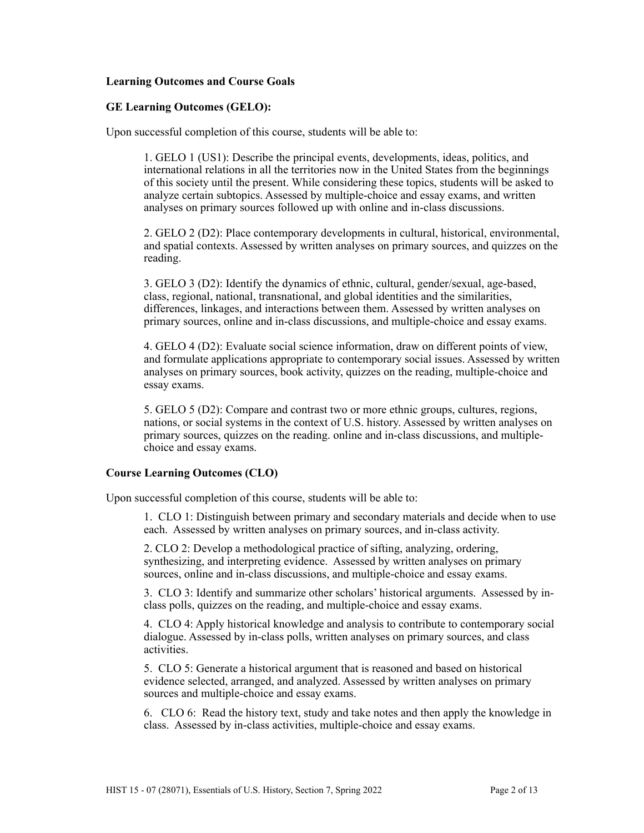#### **Learning Outcomes and Course Goals**

#### **GE Learning Outcomes (GELO):**

Upon successful completion of this course, students will be able to:

1. GELO 1 (US1): Describe the principal events, developments, ideas, politics, and international relations in all the territories now in the United States from the beginnings of this society until the present. While considering these topics, students will be asked to analyze certain subtopics. Assessed by multiple-choice and essay exams, and written analyses on primary sources followed up with online and in-class discussions.

2. GELO 2 (D2): Place contemporary developments in cultural, historical, environmental, and spatial contexts. Assessed by written analyses on primary sources, and quizzes on the reading.

3. GELO 3 (D2): Identify the dynamics of ethnic, cultural, gender/sexual, age-based, class, regional, national, transnational, and global identities and the similarities, differences, linkages, and interactions between them. Assessed by written analyses on primary sources, online and in-class discussions, and multiple-choice and essay exams.

4. GELO 4 (D2): Evaluate social science information, draw on different points of view, and formulate applications appropriate to contemporary social issues. Assessed by written analyses on primary sources, book activity, quizzes on the reading, multiple-choice and essay exams.

5. GELO 5 (D2): Compare and contrast two or more ethnic groups, cultures, regions, nations, or social systems in the context of U.S. history. Assessed by written analyses on primary sources, quizzes on the reading. online and in-class discussions, and multiplechoice and essay exams.

#### **Course Learning Outcomes (CLO)**

Upon successful completion of this course, students will be able to:

1. CLO 1: Distinguish between primary and secondary materials and decide when to use each. Assessed by written analyses on primary sources, and in-class activity.

2. CLO 2: Develop a methodological practice of sifting, analyzing, ordering, synthesizing, and interpreting evidence. Assessed by written analyses on primary sources, online and in-class discussions, and multiple-choice and essay exams.

3. CLO 3: Identify and summarize other scholars' historical arguments. Assessed by inclass polls, quizzes on the reading, and multiple-choice and essay exams.

4. CLO 4: Apply historical knowledge and analysis to contribute to contemporary social dialogue. Assessed by in-class polls, written analyses on primary sources, and class activities.

5. CLO 5: Generate a historical argument that is reasoned and based on historical evidence selected, arranged, and analyzed. Assessed by written analyses on primary sources and multiple-choice and essay exams.

6. CLO 6: Read the history text, study and take notes and then apply the knowledge in class. Assessed by in-class activities, multiple-choice and essay exams.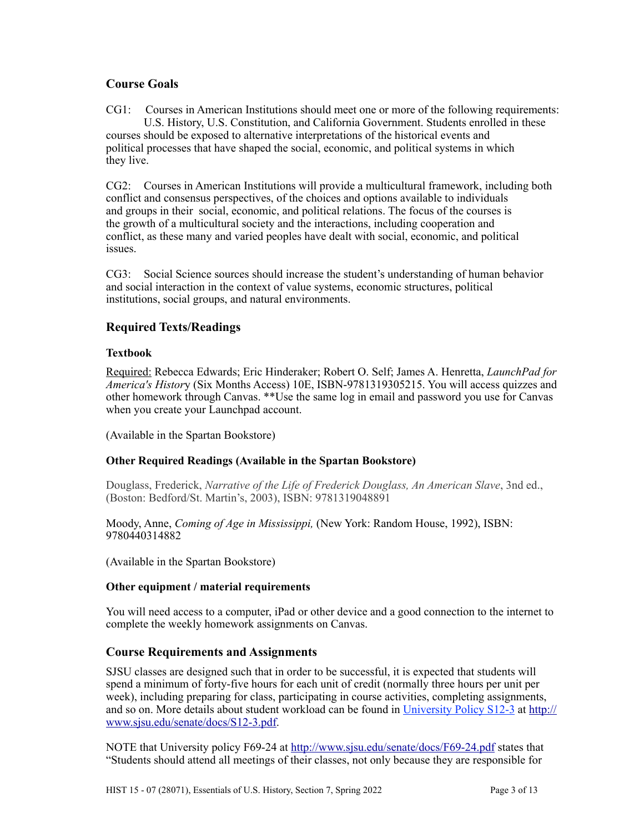## **Course Goals**

CG1: Courses in American Institutions should meet one or more of the following requirements: U.S. History, U.S. Constitution, and California Government. Students enrolled in these courses should be exposed to alternative interpretations of the historical events and political processes that have shaped the social, economic, and political systems in which they live.

CG2: Courses in American Institutions will provide a multicultural framework, including both conflict and consensus perspectives, of the choices and options available to individuals and groups in their social, economic, and political relations. The focus of the courses is the growth of a multicultural society and the interactions, including cooperation and conflict, as these many and varied peoples have dealt with social, economic, and political issues.

CG3: Social Science sources should increase the student's understanding of human behavior and social interaction in the context of value systems, economic structures, political institutions, social groups, and natural environments.

## **Required Texts/Readings**

## **Textbook**

Required: Rebecca Edwards; Eric Hinderaker; Robert O. Self; James A. Henretta, *LaunchPad for America's Histor*y (Six Months Access) 10E, ISBN-9781319305215. You will access quizzes and other homework through Canvas. \*\*Use the same log in email and password you use for Canvas when you create your Launchpad account.

(Available in the Spartan Bookstore)

## **Other Required Readings (Available in the Spartan Bookstore)**

Douglass, Frederick, *Narrative of the Life of Frederick Douglass, An American Slave*, 3nd ed., (Boston: Bedford/St. Martin's, 2003), ISBN: 9781319048891

Moody, Anne, *Coming of Age in Mississippi,* (New York: Random House, 1992), ISBN: 9780440314882

(Available in the Spartan Bookstore)

## **Other equipment / material requirements**

You will need access to a computer, iPad or other device and a good connection to the internet to complete the weekly homework assignments on Canvas.

## **Course Requirements and Assignments**

SJSU classes are designed such that in order to be successful, it is expected that students will spend a minimum of forty-five hours for each unit of credit (normally three hours per unit per week), including preparing for class, participating in course activities, completing assignments, and so on. More details about student workload can be found in [University Policy S12-3](http://www.sjsu.edu/senate/docs/S12-3.pdf) at [http://](http://www.sjsu.edu/senate/docs/S12-3.pdf) [www.sjsu.edu/senate/docs/S12-3.pdf.](http://www.sjsu.edu/senate/docs/S12-3.pdf)

NOTE that University policy F69-24 at <http://www.sjsu.edu/senate/docs/F69-24.pdf>states that "Students should attend all meetings of their classes, not only because they are responsible for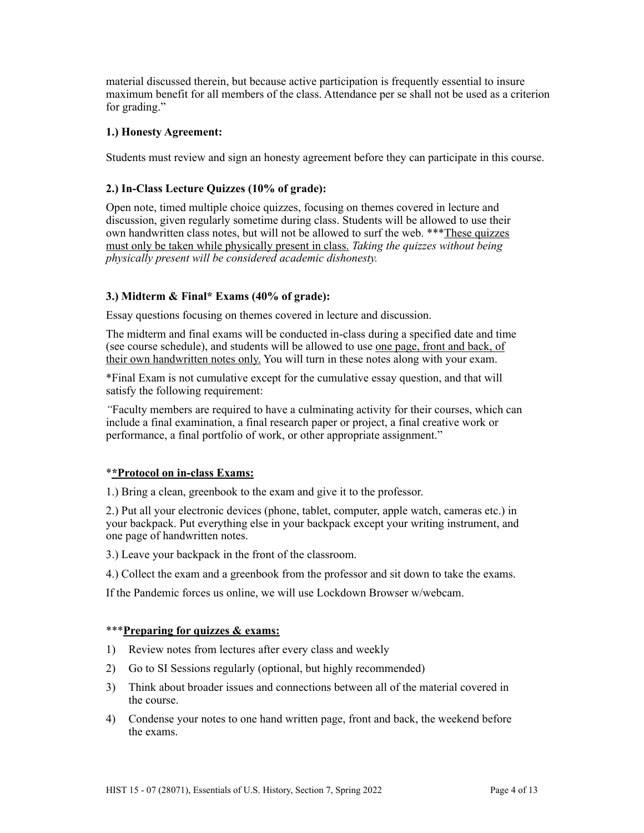material discussed therein, but because active participation is frequently essential to insure maximum benefit for all members of the class. Attendance per se shall not be used as a criterion for grading."

## **1.) Honesty Agreement:**

Students must review and sign an honesty agreement before they can participate in this course.

## **2.) In-Class Lecture Quizzes (10% of grade):**

Open note, timed multiple choice quizzes, focusing on themes covered in lecture and discussion, given regularly sometime during class. Students will be allowed to use their own handwritten class notes, but will not be allowed to surf the web. \*\*\*These quizzes must only be taken while physically present in class. *Taking the quizzes without being physically present will be considered academic dishonesty.*

## **3.) Midterm & Final\* Exams (40% of grade):**

Essay questions focusing on themes covered in lecture and discussion.

The midterm and final exams will be conducted in-class during a specified date and time (see course schedule), and students will be allowed to use one page, front and back, of their own handwritten notes only. You will turn in these notes along with your exam.

\*Final Exam is not cumulative except for the cumulative essay question, and that will satisfy the following requirement:

*"*Faculty members are required to have a culminating activity for their courses, which can include a final examination, a final research paper or project, a final creative work or performance, a final portfolio of work, or other appropriate assignment."

## \***\*Protocol on in-class Exams:**

1.) Bring a clean, greenbook to the exam and give it to the professor.

2.) Put all your electronic devices (phone, tablet, computer, apple watch, cameras etc.) in your backpack. Put everything else in your backpack except your writing instrument, and one page of handwritten notes.

3.) Leave your backpack in the front of the classroom.

4.) Collect the exam and a greenbook from the professor and sit down to take the exams.

If the Pandemic forces us online, we will use Lockdown Browser w/webcam.

## \*\*\***Preparing for quizzes & exams:**

- 1) Review notes from lectures after every class and weekly
- 2) Go to SI Sessions regularly (optional, but highly recommended)
- 3) Think about broader issues and connections between all of the material covered in the course.
- 4) Condense your notes to one hand written page, front and back, the weekend before the exams.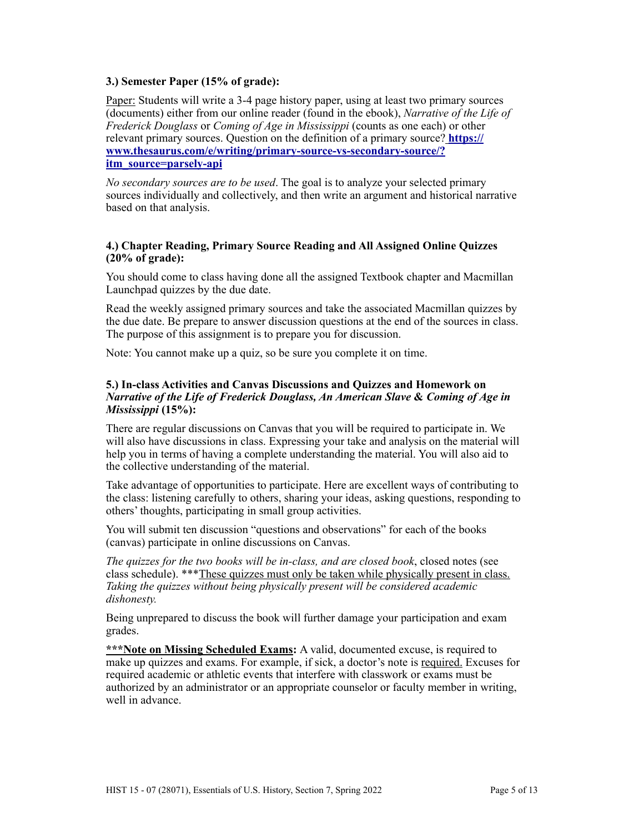## **3.) Semester Paper (15% of grade):**

Paper: Students will write a 3-4 page history paper, using at least two primary sources (documents) either from our online reader (found in the ebook), *Narrative of the Life of Frederick Douglass* or *Coming of Age in Mississippi* (counts as one each) or other relevant primary sources. Question on the definition of a primary source? **[https://](https://www.thesaurus.com/e/writing/primary-source-vs-secondary-source/?itm_source=parsely-api) [www.thesaurus.com/e/writing/primary-source-vs-secondary-source/?](https://www.thesaurus.com/e/writing/primary-source-vs-secondary-source/?itm_source=parsely-api) [itm\\_source=parsely-api](https://www.thesaurus.com/e/writing/primary-source-vs-secondary-source/?itm_source=parsely-api)**

*No secondary sources are to be used*. The goal is to analyze your selected primary sources individually and collectively, and then write an argument and historical narrative based on that analysis.

#### **4.) Chapter Reading, Primary Source Reading and All Assigned Online Quizzes (20% of grade):**

You should come to class having done all the assigned Textbook chapter and Macmillan Launchpad quizzes by the due date.

Read the weekly assigned primary sources and take the associated Macmillan quizzes by the due date. Be prepare to answer discussion questions at the end of the sources in class. The purpose of this assignment is to prepare you for discussion.

Note: You cannot make up a quiz, so be sure you complete it on time.

#### **5.) In-class Activities and Canvas Discussions and Quizzes and Homework on**  *Narrative of the Life of Frederick Douglass, An American Slave* **&** *Coming of Age in Mississippi* **(15%):**

There are regular discussions on Canvas that you will be required to participate in. We will also have discussions in class. Expressing your take and analysis on the material will help you in terms of having a complete understanding the material. You will also aid to the collective understanding of the material.

Take advantage of opportunities to participate. Here are excellent ways of contributing to the class: listening carefully to others, sharing your ideas, asking questions, responding to others' thoughts, participating in small group activities.

You will submit ten discussion "questions and observations" for each of the books (canvas) participate in online discussions on Canvas.

*The quizzes for the two books will be in-class, and are closed book*, closed notes (see class schedule). \*\*\*These quizzes must only be taken while physically present in class. *Taking the quizzes without being physically present will be considered academic dishonesty.*

Being unprepared to discuss the book will further damage your participation and exam grades.

\*\*\*Note on Missing Scheduled Exams: A valid, documented excuse, is required to make up quizzes and exams. For example, if sick, a doctor's note is required. Excuses for required academic or athletic events that interfere with classwork or exams must be authorized by an administrator or an appropriate counselor or faculty member in writing, well in advance.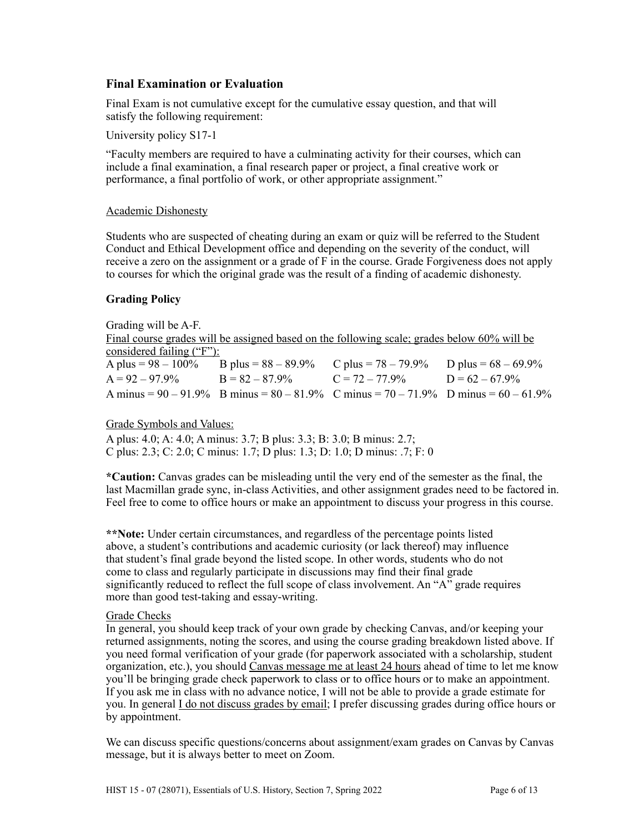## **Final Examination or Evaluation**

Final Exam is not cumulative except for the cumulative essay question, and that will satisfy the following requirement:

University policy S17-1

"Faculty members are required to have a culminating activity for their courses, which can include a final examination, a final research paper or project, a final creative work or performance, a final portfolio of work, or other appropriate assignment."

#### Academic Dishonesty

Students who are suspected of cheating during an exam or quiz will be referred to the Student Conduct and Ethical Development office and depending on the severity of the conduct, will receive a zero on the assignment or a grade of F in the course. Grade Forgiveness does not apply to courses for which the original grade was the result of a finding of academic dishonesty.

#### **Grading Policy**

Grading will be A-F. Final course grades will be assigned based on the following scale; grades below 60% will be considered failing ("F"):<br>A plus =  $98 - 100\%$ B plus =  $88 - 89.9\%$  C plus =  $78 - 79.9\%$  D plus =  $68 - 69.9\%$  $A = 92 - 97.9\%$  B =  $82 - 87.9\%$  C =  $72 - 77.9\%$  D =  $62 - 67.9\%$ A minus =  $90 - 91.9\%$  B minus =  $80 - 81.9\%$  C minus =  $70 - 71.9\%$  D minus =  $60 - 61.9\%$ 

## Grade Symbols and Values:

A plus: 4.0; A: 4.0; A minus: 3.7; B plus: 3.3; B: 3.0; B minus: 2.7; C plus: 2.3; C: 2.0; C minus: 1.7; D plus: 1.3; D: 1.0; D minus: .7; F: 0

**\*Caution:** Canvas grades can be misleading until the very end of the semester as the final, the last Macmillan grade sync, in-class Activities, and other assignment grades need to be factored in. Feel free to come to office hours or make an appointment to discuss your progress in this course.

**\*\*Note:** Under certain circumstances, and regardless of the percentage points listed above, a student's contributions and academic curiosity (or lack thereof) may influence that student's final grade beyond the listed scope. In other words, students who do not come to class and regularly participate in discussions may find their final grade significantly reduced to reflect the full scope of class involvement. An "A" grade requires more than good test-taking and essay-writing.

#### Grade Checks

In general, you should keep track of your own grade by checking Canvas, and/or keeping your returned assignments, noting the scores, and using the course grading breakdown listed above. If you need formal verification of your grade (for paperwork associated with a scholarship, student organization, etc.), you should Canvas message me at least 24 hours ahead of time to let me know you'll be bringing grade check paperwork to class or to office hours or to make an appointment. If you ask me in class with no advance notice, I will not be able to provide a grade estimate for you. In general I do not discuss grades by email; I prefer discussing grades during office hours or by appointment.

We can discuss specific questions/concerns about assignment/exam grades on Canvas by Canvas message, but it is always better to meet on Zoom.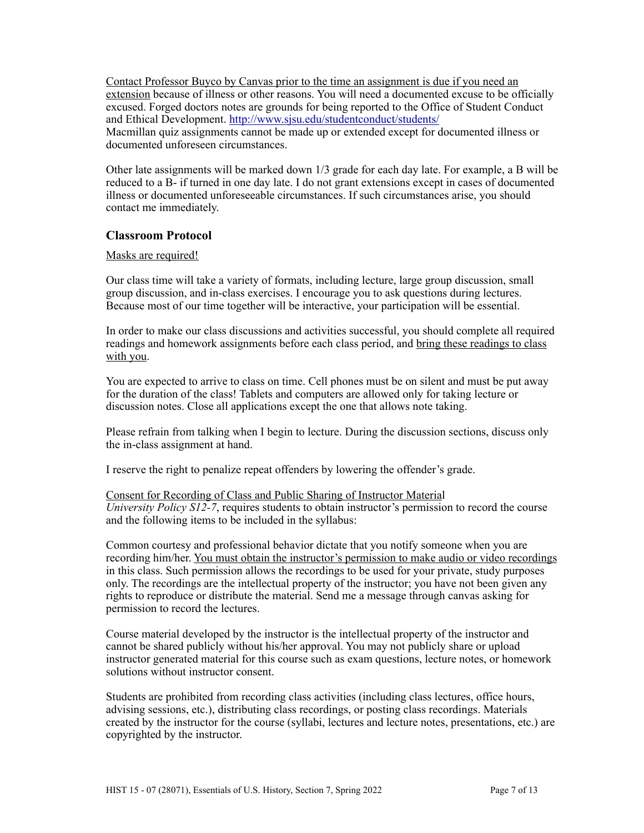Contact Professor Buyco by Canvas prior to the time an assignment is due if you need an extension because of illness or other reasons. You will need a documented excuse to be officially excused. Forged doctors notes are grounds for being reported to the Office of Student Conduct and Ethical Development.<http://www.sjsu.edu/studentconduct/students/> Macmillan quiz assignments cannot be made up or extended except for documented illness or documented unforeseen circumstances.

Other late assignments will be marked down 1/3 grade for each day late. For example, a B will be reduced to a B- if turned in one day late. I do not grant extensions except in cases of documented illness or documented unforeseeable circumstances. If such circumstances arise, you should contact me immediately.

## **Classroom Protocol**

#### Masks are required!

Our class time will take a variety of formats, including lecture, large group discussion, small group discussion, and in-class exercises. I encourage you to ask questions during lectures. Because most of our time together will be interactive, your participation will be essential.

In order to make our class discussions and activities successful, you should complete all required readings and homework assignments before each class period, and bring these readings to class with you.

You are expected to arrive to class on time. Cell phones must be on silent and must be put away for the duration of the class! Tablets and computers are allowed only for taking lecture or discussion notes. Close all applications except the one that allows note taking.

Please refrain from talking when I begin to lecture. During the discussion sections, discuss only the in-class assignment at hand.

I reserve the right to penalize repeat offenders by lowering the offender's grade.

## Consent for Recording of Class and Public Sharing of Instructor Material *University Policy S12-7*, requires students to obtain instructor's permission to record the course and the following items to be included in the syllabus:

Common courtesy and professional behavior dictate that you notify someone when you are recording him/her. You must obtain the instructor's permission to make audio or video recordings in this class. Such permission allows the recordings to be used for your private, study purposes only. The recordings are the intellectual property of the instructor; you have not been given any rights to reproduce or distribute the material. Send me a message through canvas asking for permission to record the lectures.

Course material developed by the instructor is the intellectual property of the instructor and cannot be shared publicly without his/her approval. You may not publicly share or upload instructor generated material for this course such as exam questions, lecture notes, or homework solutions without instructor consent.

Students are prohibited from recording class activities (including class lectures, office hours, advising sessions, etc.), distributing class recordings, or posting class recordings. Materials created by the instructor for the course (syllabi, lectures and lecture notes, presentations, etc.) are copyrighted by the instructor.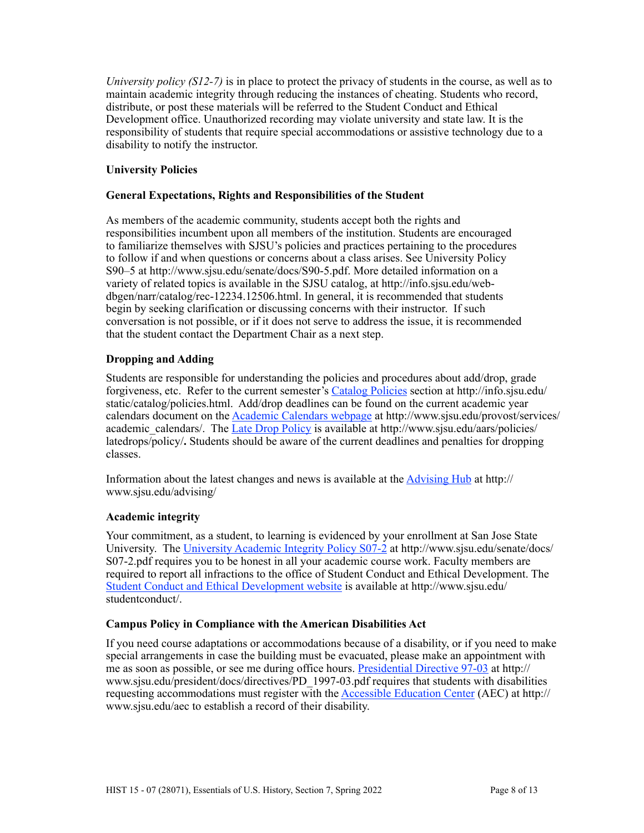*University policy (S12-7)* is in place to protect the privacy of students in the course, as well as to maintain academic integrity through reducing the instances of cheating. Students who record, distribute, or post these materials will be referred to the Student Conduct and Ethical Development office. Unauthorized recording may violate university and state law. It is the responsibility of students that require special accommodations or assistive technology due to a disability to notify the instructor.

## **University Policies**

## **General Expectations, Rights and Responsibilities of the Student**

As members of the academic community, students accept both the rights and responsibilities incumbent upon all members of the institution. Students are encouraged to familiarize themselves with SJSU's policies and practices pertaining to the procedures to follow if and when questions or concerns about a class arises. See University Policy S90–5 at http://www.sjsu.edu/senate/docs/S90-5.pdf. More detailed information on a variety of related topics is available in the SJSU catalog, at http://info.sjsu.edu/webdbgen/narr/catalog/rec-12234.12506.html. In general, it is recommended that students begin by seeking clarification or discussing concerns with their instructor. If such conversation is not possible, or if it does not serve to address the issue, it is recommended that the student contact the Department Chair as a next step.

## **Dropping and Adding**

Students are responsible for understanding the policies and procedures about add/drop, grade forgiveness, etc. Refer to the current semester's [Catalog Policies](http://info.sjsu.edu/static/catalog/policies.html) section at http://info.sjsu.edu/ static/catalog/policies.html. Add/drop deadlines can be found on the current academic year calendars document on the [Academic Calendars webpage](http://www.sjsu.edu/provost/services/academic_calendars/) at http://www.sjsu.edu/provost/services/ academic\_calendars/. The [Late Drop Policy](http://www.sjsu.edu/aars) is available at http://www.sjsu.edu/aars/policies/ latedrops/policy/**.** Students should be aware of the current deadlines and penalties for dropping classes.

Information about the latest changes and news is available at the [Advising Hub](http://www.sjsu.edu/advising/) at http:// www.sjsu.edu/advising/

## **Academic integrity**

Your commitment, as a student, to learning is evidenced by your enrollment at San Jose State University. The [University Academic Integrity Policy S07-2](http://www.sjsu.edu/senate/docs/S07-2.pdf) at http://www.sjsu.edu/senate/docs/ S07-2.pdf requires you to be honest in all your academic course work. Faculty members are required to report all infractions to the office of Student Conduct and Ethical Development. The [Student Conduct and Ethical Development website](http://www.sjsu.edu/studentconduct/) is available at http://www.sjsu.edu/ studentconduct/.

## **Campus Policy in Compliance with the American Disabilities Act**

If you need course adaptations or accommodations because of a disability, or if you need to make special arrangements in case the building must be evacuated, please make an appointment with me as soon as possible, or see me during office hours. [Presidential Directive 97-03](http://www.sjsu.edu/president/docs/directives/PD_1997-03.pdf) at http:// www.sjsu.edu/president/docs/directives/PD\_1997-03.pdf requires that students with disabilities requesting accommodations must register with the [Accessible Education Center](http://www.sjsu.edu/aec) (AEC) at http:// www.sjsu.edu/aec to establish a record of their disability.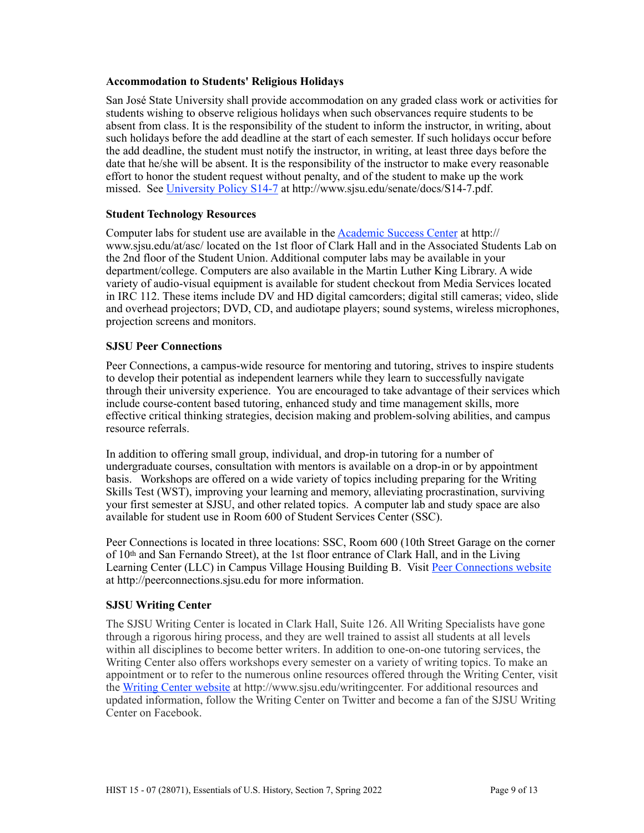#### **Accommodation to Students' Religious Holidays**

San José State University shall provide accommodation on any graded class work or activities for students wishing to observe religious holidays when such observances require students to be absent from class. It is the responsibility of the student to inform the instructor, in writing, about such holidays before the add deadline at the start of each semester. If such holidays occur before the add deadline, the student must notify the instructor, in writing, at least three days before the date that he/she will be absent. It is the responsibility of the instructor to make every reasonable effort to honor the student request without penalty, and of the student to make up the work missed. See [University Policy S14-7](http://www.sjsu.edu/senate/docs/S14-7.pdf) at http://www.sjsu.edu/senate/docs/S14-7.pdf.

## **Student Technology Resources**

Computer labs for student use are available in the Academic Success Center at http:// www.sjsu.edu/at/asc/ located on the 1st floor of Clark Hall and in the Associated Students Lab on the 2nd floor of the Student Union. Additional computer labs may be available in your department/college. Computers are also available in the Martin Luther King Library. A wide variety of audio-visual equipment is available for student checkout from Media Services located in IRC 112. These items include DV and HD digital camcorders; digital still cameras; video, slide and overhead projectors; DVD, CD, and audiotape players; sound systems, wireless microphones, projection screens and monitors.

#### **SJSU Peer Connections**

Peer Connections, a campus-wide resource for mentoring and tutoring, strives to inspire students to develop their potential as independent learners while they learn to successfully navigate through their university experience. You are encouraged to take advantage of their services which include course-content based tutoring, enhanced study and time management skills, more effective critical thinking strategies, decision making and problem-solving abilities, and campus resource referrals.

In addition to offering small group, individual, and drop-in tutoring for a number of undergraduate courses, consultation with mentors is available on a drop-in or by appointment basis. Workshops are offered on a wide variety of topics including preparing for the Writing Skills Test (WST), improving your learning and memory, alleviating procrastination, surviving your first semester at SJSU, and other related topics. A computer lab and study space are also available for student use in Room 600 of Student Services Center (SSC).

Peer Connections is located in three locations: SSC, Room 600 (10th Street Garage on the corner of 10th and San Fernando Street), at the 1st floor entrance of Clark Hall, and in the Living Learning Center (LLC) in Campus Village Housing Building B. Visit [Peer Connections website](http://peerconnections.sjsu.edu) at http://peerconnections.sjsu.edu for more information.

## **SJSU Writing Center**

The SJSU Writing Center is located in Clark Hall, Suite 126. All Writing Specialists have gone through a rigorous hiring process, and they are well trained to assist all students at all levels within all disciplines to become better writers. In addition to one-on-one tutoring services, the Writing Center also offers workshops every semester on a variety of writing topics. To make an appointment or to refer to the numerous online resources offered through the Writing Center, visit the [Writing Center website](http://www.sjsu.edu/writingcenter) at http://www.sjsu.edu/writingcenter. For additional resources and updated information, follow the Writing Center on Twitter and become a fan of the SJSU Writing Center on Facebook.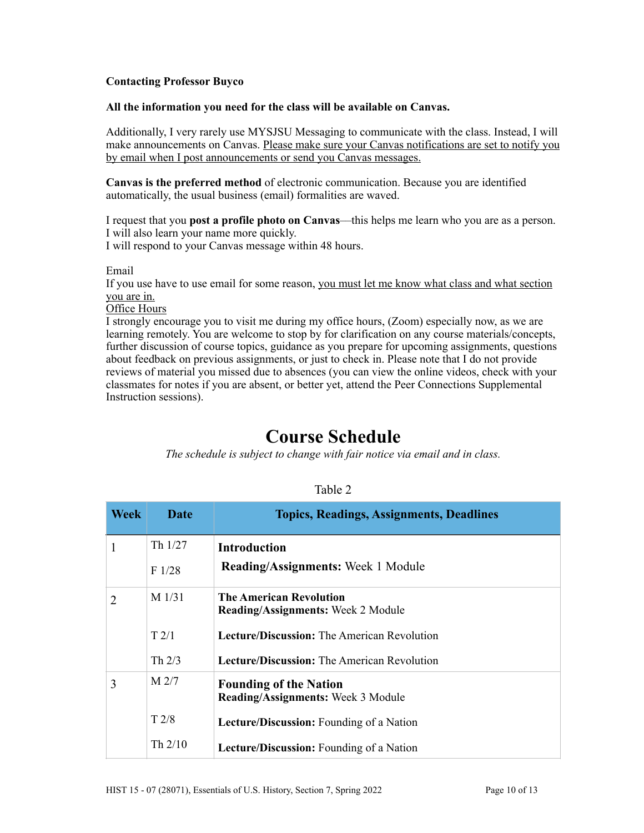## **Contacting Professor Buyco**

#### **All the information you need for the class will be available on Canvas.**

Additionally, I very rarely use MYSJSU Messaging to communicate with the class. Instead, I will make announcements on Canvas. Please make sure your Canvas notifications are set to notify you by email when I post announcements or send you Canvas messages.

**Canvas is the preferred method** of electronic communication. Because you are identified automatically, the usual business (email) formalities are waved.

I request that you **post a profile photo on Canvas**––this helps me learn who you are as a person. I will also learn your name more quickly. I will respond to your Canvas message within 48 hours.

Email

If you use have to use email for some reason, you must let me know what class and what section you are in.

Office Hours

I strongly encourage you to visit me during my office hours, (Zoom) especially now, as we are learning remotely. You are welcome to stop by for clarification on any course materials/concepts, further discussion of course topics, guidance as you prepare for upcoming assignments, questions about feedback on previous assignments, or just to check in. Please note that I do not provide reviews of material you missed due to absences (you can view the online videos, check with your classmates for notes if you are absent, or better yet, attend the Peer Connections Supplemental Instruction sessions).

# **Course Schedule**

*The schedule is subject to change with fair notice via email and in class.*

| . . | D. |  |
|-----|----|--|
|     |    |  |

| <b>Week</b> | <b>Date</b>      | <b>Topics, Readings, Assignments, Deadlines</b>                             |
|-------------|------------------|-----------------------------------------------------------------------------|
|             | Th $1/27$        | Introduction                                                                |
|             | F1/28            | <b>Reading/Assignments:</b> Week 1 Module                                   |
| 2           | $M$ 1/31         | <b>The American Revolution</b><br><b>Reading/Assignments:</b> Week 2 Module |
|             | T2/1             | <b>Lecture/Discussion:</b> The American Revolution                          |
|             | Th $2/3$         | <b>Lecture/Discussion:</b> The American Revolution                          |
| 3           | M <sub>2/7</sub> | <b>Founding of the Nation</b><br><b>Reading/Assignments:</b> Week 3 Module  |
|             | T2/8             | Lecture/Discussion: Founding of a Nation                                    |
|             | Th $2/10$        | <b>Lecture/Discussion:</b> Founding of a Nation                             |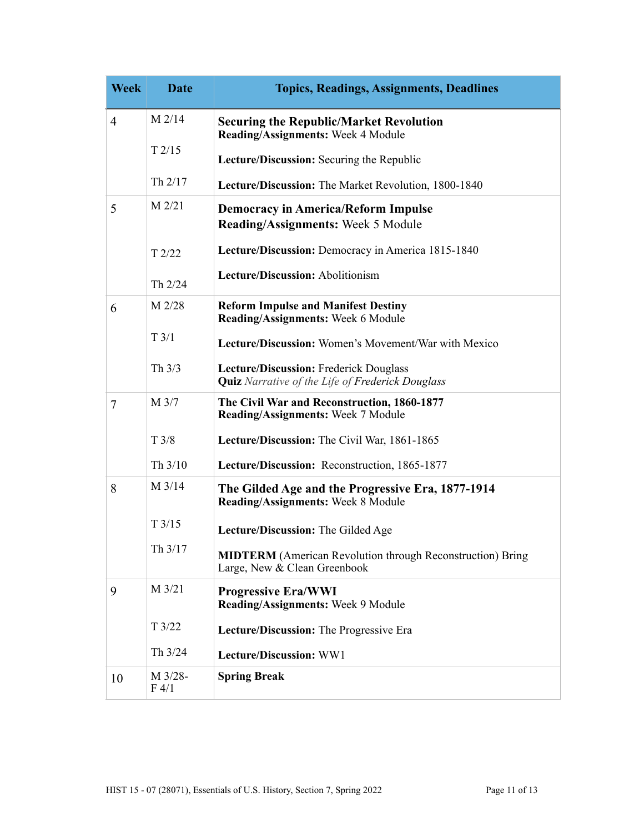| <b>Week</b>    | <b>Date</b>      | <b>Topics, Readings, Assignments, Deadlines</b>                                                   |
|----------------|------------------|---------------------------------------------------------------------------------------------------|
| $\overline{4}$ | M 2/14           | <b>Securing the Republic/Market Revolution</b><br>Reading/Assignments: Week 4 Module              |
|                | T2/15            | Lecture/Discussion: Securing the Republic                                                         |
|                | Th $2/17$        | Lecture/Discussion: The Market Revolution, 1800-1840                                              |
| 5              | M 2/21           | <b>Democracy in America/Reform Impulse</b><br>Reading/Assignments: Week 5 Module                  |
|                | T2/22            | Lecture/Discussion: Democracy in America 1815-1840                                                |
|                | Th 2/24          | Lecture/Discussion: Abolitionism                                                                  |
| 6              | M 2/28           | <b>Reform Impulse and Manifest Destiny</b><br>Reading/Assignments: Week 6 Module                  |
|                | T3/1             | Lecture/Discussion: Women's Movement/War with Mexico                                              |
|                | Th $3/3$         | Lecture/Discussion: Frederick Douglass<br><b>Quiz</b> Narrative of the Life of Frederick Douglass |
| $\tau$         | M 3/7            | The Civil War and Reconstruction, 1860-1877<br>Reading/Assignments: Week 7 Module                 |
|                | T3/8             | Lecture/Discussion: The Civil War, 1861-1865                                                      |
|                | Th 3/10          | Lecture/Discussion: Reconstruction, 1865-1877                                                     |
| 8              | M 3/14           | The Gilded Age and the Progressive Era, 1877-1914<br>Reading/Assignments: Week 8 Module           |
|                | T3/15            | Lecture/Discussion: The Gilded Age                                                                |
|                | Th 3/17          | <b>MIDTERM</b> (American Revolution through Reconstruction) Bring<br>Large, New & Clean Greenbook |
| 9              | M 3/21           | <b>Progressive Era/WWI</b><br>Reading/Assignments: Week 9 Module                                  |
|                | T3/22            | Lecture/Discussion: The Progressive Era                                                           |
|                | Th 3/24          | Lecture/Discussion: WW1                                                                           |
| 10             | M 3/28-<br>F 4/1 | <b>Spring Break</b>                                                                               |